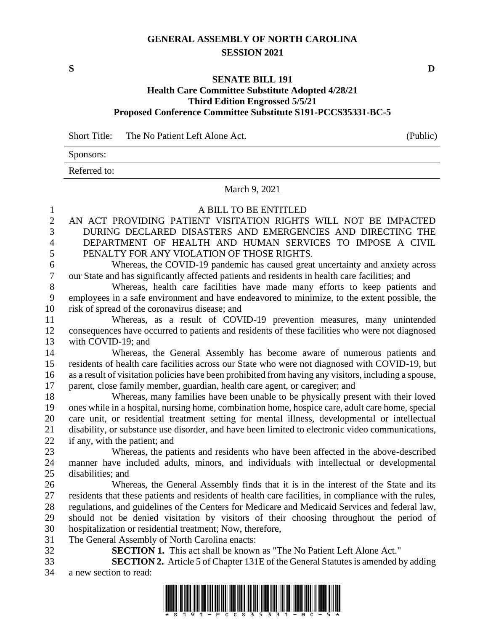# **GENERAL ASSEMBLY OF NORTH CAROLINA SESSION 2021**

**S D**

#### **SENATE BILL 191**

## **Health Care Committee Substitute Adopted 4/28/21 Third Edition Engrossed 5/5/21 Proposed Conference Committee Substitute S191-PCCS35331-BC-5**

Short Title: The No Patient Left Alone Act. (Public)

Sponsors:

Referred to:

### March 9, 2021

- A BILL TO BE ENTITLED
- AN ACT PROVIDING PATIENT VISITATION RIGHTS WILL NOT BE IMPACTED DURING DECLARED DISASTERS AND EMERGENCIES AND DIRECTING THE DEPARTMENT OF HEALTH AND HUMAN SERVICES TO IMPOSE A CIVIL PENALTY FOR ANY VIOLATION OF THOSE RIGHTS.
- Whereas, the COVID-19 pandemic has caused great uncertainty and anxiety across our State and has significantly affected patients and residents in health care facilities; and
- Whereas, health care facilities have made many efforts to keep patients and employees in a safe environment and have endeavored to minimize, to the extent possible, the risk of spread of the coronavirus disease; and
- Whereas, as a result of COVID-19 prevention measures, many unintended consequences have occurred to patients and residents of these facilities who were not diagnosed with COVID-19; and
- Whereas, the General Assembly has become aware of numerous patients and residents of health care facilities across our State who were not diagnosed with COVID-19, but as a result of visitation policies have been prohibited from having any visitors, including a spouse, parent, close family member, guardian, health care agent, or caregiver; and
- Whereas, many families have been unable to be physically present with their loved ones while in a hospital, nursing home, combination home, hospice care, adult care home, special care unit, or residential treatment setting for mental illness, developmental or intellectual disability, or substance use disorder, and have been limited to electronic video communications, if any, with the patient; and
- Whereas, the patients and residents who have been affected in the above-described manner have included adults, minors, and individuals with intellectual or developmental disabilities; and
- Whereas, the General Assembly finds that it is in the interest of the State and its residents that these patients and residents of health care facilities, in compliance with the rules, regulations, and guidelines of the Centers for Medicare and Medicaid Services and federal law, should not be denied visitation by visitors of their choosing throughout the period of hospitalization or residential treatment; Now, therefore,
- The General Assembly of North Carolina enacts:
- 

**SECTION 1.** This act shall be known as "The No Patient Left Alone Act."

 **SECTION 2.** Article 5 of Chapter 131E of the General Statutes is amended by adding a new section to read:

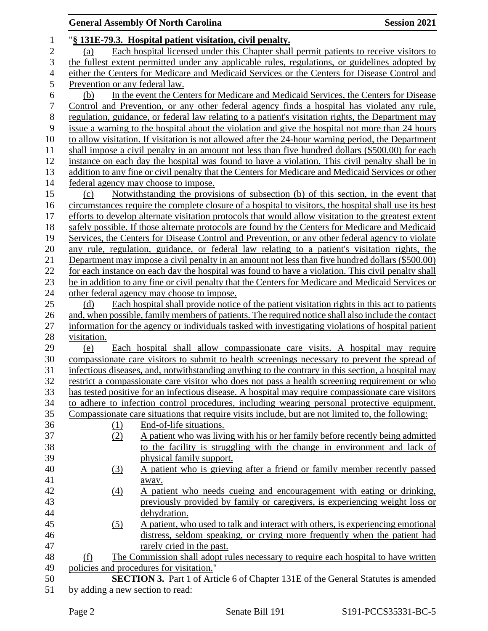# **General Assembly Of North Carolina Session 2021**

| $\mathbf{1}$   | "§ 131E-79.3. Hospital patient visitation, civil penalty.                                             |
|----------------|-------------------------------------------------------------------------------------------------------|
| $\overline{2}$ | Each hospital licensed under this Chapter shall permit patients to receive visitors to<br>(a)         |
| 3              | the fullest extent permitted under any applicable rules, regulations, or guidelines adopted by        |
| $\overline{4}$ | either the Centers for Medicare and Medicaid Services or the Centers for Disease Control and          |
| 5              | Prevention or any federal law.                                                                        |
| 6              | In the event the Centers for Medicare and Medicaid Services, the Centers for Disease<br>(b)           |
| $\sqrt{ }$     | Control and Prevention, or any other federal agency finds a hospital has violated any rule,           |
| 8              | regulation, guidance, or federal law relating to a patient's visitation rights, the Department may    |
| 9              | issue a warning to the hospital about the violation and give the hospital not more than 24 hours      |
| 10             | to allow visitation. If visitation is not allowed after the 24-hour warning period, the Department    |
| 11             | shall impose a civil penalty in an amount not less than five hundred dollars (\$500.00) for each      |
| 12             | instance on each day the hospital was found to have a violation. This civil penalty shall be in       |
| 13             | addition to any fine or civil penalty that the Centers for Medicare and Medicaid Services or other    |
| 14             | federal agency may choose to impose.                                                                  |
| 15             | Notwithstanding the provisions of subsection (b) of this section, in the event that<br>(c)            |
| 16             | circumstances require the complete closure of a hospital to visitors, the hospital shall use its best |
| 17             | efforts to develop alternate visitation protocols that would allow visitation to the greatest extent  |
| 18             | safely possible. If those alternate protocols are found by the Centers for Medicare and Medicaid      |
| 19             | Services, the Centers for Disease Control and Prevention, or any other federal agency to violate      |
| 20             | any rule, regulation, guidance, or federal law relating to a patient's visitation rights, the         |
| 21             | Department may impose a civil penalty in an amount not less than five hundred dollars (\$500.00)      |
| 22             | for each instance on each day the hospital was found to have a violation. This civil penalty shall    |
| 23             | be in addition to any fine or civil penalty that the Centers for Medicare and Medicaid Services or    |
| 24             | other federal agency may choose to impose.                                                            |
| 25             | Each hospital shall provide notice of the patient visitation rights in this act to patients<br>(d)    |
| 26             | and, when possible, family members of patients. The required notice shall also include the contact    |
| 27             | information for the agency or individuals tasked with investigating violations of hospital patient    |
| 28             | visitation.                                                                                           |
| 29             | Each hospital shall allow compassionate care visits. A hospital may require<br>(e)                    |
| 30             | compassionate care visitors to submit to health screenings necessary to prevent the spread of         |
| 31             | infectious diseases, and, notwithstanding anything to the contrary in this section, a hospital may    |
| 32             | restrict a compassionate care visitor who does not pass a health screening requirement or who         |
| 33             | has tested positive for an infectious disease. A hospital may require compassionate care visitors     |
| 34             | to adhere to infection control procedures, including wearing personal protective equipment.           |
| 35             | Compassionate care situations that require visits include, but are not limited to, the following:     |
| 36             | End-of-life situations.<br>(1)                                                                        |
| 37             | A patient who was living with his or her family before recently being admitted<br>(2)                 |
| 38             | to the facility is struggling with the change in environment and lack of                              |
| 39             | physical family support.                                                                              |
| 40             | A patient who is grieving after a friend or family member recently passed<br>(3)                      |
| 41             | away.                                                                                                 |
| 42             | A patient who needs cueing and encouragement with eating or drinking,<br>$\underline{(4)}$            |
| 43             | previously provided by family or caregivers, is experiencing weight loss or                           |
| 44             | dehydration.                                                                                          |
| 45             | A patient, who used to talk and interact with others, is experiencing emotional<br>(5)                |
| 46             | distress, seldom speaking, or crying more frequently when the patient had                             |
| 47             | rarely cried in the past.                                                                             |
| 48             | The Commission shall adopt rules necessary to require each hospital to have written<br>(f)            |
| 49             | policies and procedures for visitation."                                                              |
| 50             | SECTION 3. Part 1 of Article 6 of Chapter 131E of the General Statutes is amended                     |
| 51             | by adding a new section to read:                                                                      |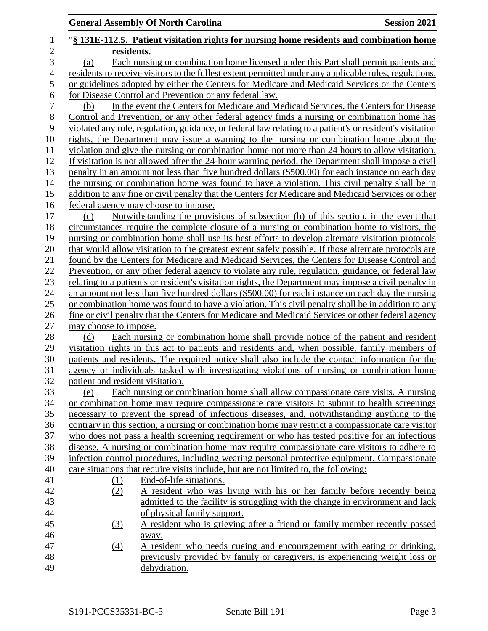|                |                                  | <b>General Assembly Of North Carolina</b>                                                                | <b>Session 2021</b> |
|----------------|----------------------------------|----------------------------------------------------------------------------------------------------------|---------------------|
| 1              |                                  | "§ 131E-112.5. Patient visitation rights for nursing home residents and combination home                 |                     |
| $\overline{2}$ | residents.                       |                                                                                                          |                     |
| 3              | (a)                              | Each nursing or combination home licensed under this Part shall permit patients and                      |                     |
| $\overline{4}$ |                                  | residents to receive visitors to the fullest extent permitted under any applicable rules, regulations,   |                     |
| 5              |                                  | or guidelines adopted by either the Centers for Medicare and Medicaid Services or the Centers            |                     |
| 6              |                                  | for Disease Control and Prevention or any federal law.                                                   |                     |
| 7              | (b)                              | In the event the Centers for Medicare and Medicaid Services, the Centers for Disease                     |                     |
| 8              |                                  | Control and Prevention, or any other federal agency finds a nursing or combination home has              |                     |
| 9              |                                  | violated any rule, regulation, guidance, or federal law relating to a patient's or resident's visitation |                     |
| 10             |                                  | rights, the Department may issue a warning to the nursing or combination home about the                  |                     |
| 11             |                                  | violation and give the nursing or combination home not more than 24 hours to allow visitation.           |                     |
| 12             |                                  | If visitation is not allowed after the 24-hour warning period, the Department shall impose a civil       |                     |
| 13             |                                  | penalty in an amount not less than five hundred dollars (\$500.00) for each instance on each day         |                     |
| 14             |                                  | the nursing or combination home was found to have a violation. This civil penalty shall be in            |                     |
| 15             |                                  | addition to any fine or civil penalty that the Centers for Medicare and Medicaid Services or other       |                     |
| 16             |                                  | federal agency may choose to impose.                                                                     |                     |
| 17             | (c)                              | Notwithstanding the provisions of subsection (b) of this section, in the event that                      |                     |
| 18             |                                  | circumstances require the complete closure of a nursing or combination home to visitors, the             |                     |
| 19             |                                  | nursing or combination home shall use its best efforts to develop alternate visitation protocols         |                     |
| 20             |                                  | that would allow visitation to the greatest extent safely possible. If those alternate protocols are     |                     |
| 21             |                                  | found by the Centers for Medicare and Medicaid Services, the Centers for Disease Control and             |                     |
| 22             |                                  | Prevention, or any other federal agency to violate any rule, regulation, guidance, or federal law        |                     |
| 23             |                                  | relating to a patient's or resident's visitation rights, the Department may impose a civil penalty in    |                     |
| 24             |                                  | an amount not less than five hundred dollars (\$500.00) for each instance on each day the nursing        |                     |
| 25             |                                  | or combination home was found to have a violation. This civil penalty shall be in addition to any        |                     |
| 26             |                                  | fine or civil penalty that the Centers for Medicare and Medicaid Services or other federal agency        |                     |
| 27             | may choose to impose.            |                                                                                                          |                     |
| 28             | (d)                              | Each nursing or combination home shall provide notice of the patient and resident                        |                     |
| 29             |                                  | visitation rights in this act to patients and residents and, when possible, family members of            |                     |
| 30             |                                  | patients and residents. The required notice shall also include the contact information for the           |                     |
| 31             |                                  | agency or individuals tasked with investigating violations of nursing or combination home                |                     |
| 32             | patient and resident visitation. |                                                                                                          |                     |
| 33             | (e)                              | Each nursing or combination home shall allow compassionate care visits. A nursing                        |                     |
| 34             |                                  | or combination home may require compassionate care visitors to submit to health screenings               |                     |
| 35             |                                  | necessary to prevent the spread of infectious diseases, and, notwithstanding anything to the             |                     |
| 36             |                                  | contrary in this section, a nursing or combination home may restrict a compassionate care visitor        |                     |
| 37             |                                  | who does not pass a health screening requirement or who has tested positive for an infectious            |                     |
| 38             |                                  | disease. A nursing or combination home may require compassionate care visitors to adhere to              |                     |
| 39             |                                  | infection control procedures, including wearing personal protective equipment. Compassionate             |                     |
| 40             |                                  | care situations that require visits include, but are not limited to, the following:                      |                     |
| 41             | $\Omega$                         | End-of-life situations.                                                                                  |                     |
| 42             | (2)                              | A resident who was living with his or her family before recently being                                   |                     |
| 43             |                                  | admitted to the facility is struggling with the change in environment and lack                           |                     |
| 44             |                                  | of physical family support.                                                                              |                     |
| 45             | (3)                              | A resident who is grieving after a friend or family member recently passed                               |                     |
| 46             |                                  | away.                                                                                                    |                     |
| 47             | $\Delta$                         | A resident who needs cueing and encouragement with eating or drinking,                                   |                     |
| 48             |                                  | previously provided by family or caregivers, is experiencing weight loss or                              |                     |
| 49             |                                  | dehydration.                                                                                             |                     |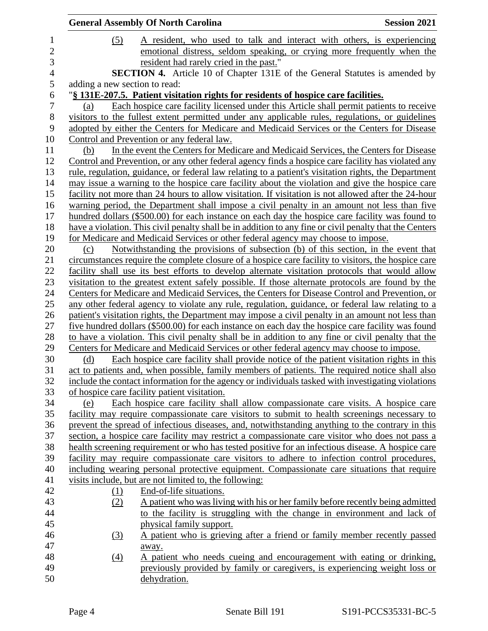|                               |                  | <b>General Assembly Of North Carolina</b>                                                               | <b>Session 2021</b> |
|-------------------------------|------------------|---------------------------------------------------------------------------------------------------------|---------------------|
|                               | (5)              | A resident, who used to talk and interact with others, is experiencing                                  |                     |
|                               |                  | emotional distress, seldom speaking, or crying more frequently when the                                 |                     |
|                               |                  | resident had rarely cried in the past."                                                                 |                     |
|                               |                  | <b>SECTION 4.</b> Article 10 of Chapter 131E of the General Statutes is amended by                      |                     |
| adding a new section to read: |                  |                                                                                                         |                     |
|                               |                  | "§ 131E-207.5. Patient visitation rights for residents of hospice care facilities.                      |                     |
| (a)                           |                  | Each hospice care facility licensed under this Article shall permit patients to receive                 |                     |
|                               |                  | visitors to the fullest extent permitted under any applicable rules, regulations, or guidelines         |                     |
|                               |                  | adopted by either the Centers for Medicare and Medicaid Services or the Centers for Disease             |                     |
|                               |                  | Control and Prevention or any federal law.                                                              |                     |
| (b)                           |                  | In the event the Centers for Medicare and Medicaid Services, the Centers for Disease                    |                     |
|                               |                  | Control and Prevention, or any other federal agency finds a hospice care facility has violated any      |                     |
|                               |                  | rule, regulation, guidance, or federal law relating to a patient's visitation rights, the Department    |                     |
|                               |                  | may issue a warning to the hospice care facility about the violation and give the hospice care          |                     |
|                               |                  | facility not more than 24 hours to allow visitation. If visitation is not allowed after the 24-hour     |                     |
|                               |                  | warning period, the Department shall impose a civil penalty in an amount not less than five             |                     |
|                               |                  | hundred dollars (\$500.00) for each instance on each day the hospice care facility was found to         |                     |
|                               |                  | have a violation. This civil penalty shall be in addition to any fine or civil penalty that the Centers |                     |
|                               |                  | for Medicare and Medicaid Services or other federal agency may choose to impose.                        |                     |
| (c)                           |                  | Notwithstanding the provisions of subsection (b) of this section, in the event that                     |                     |
|                               |                  | circumstances require the complete closure of a hospice care facility to visitors, the hospice care     |                     |
|                               |                  | facility shall use its best efforts to develop alternate visitation protocols that would allow          |                     |
|                               |                  | visitation to the greatest extent safely possible. If those alternate protocols are found by the        |                     |
|                               |                  | Centers for Medicare and Medicaid Services, the Centers for Disease Control and Prevention, or          |                     |
|                               |                  | any other federal agency to violate any rule, regulation, guidance, or federal law relating to a        |                     |
|                               |                  | patient's visitation rights, the Department may impose a civil penalty in an amount not less than       |                     |
|                               |                  | five hundred dollars (\$500.00) for each instance on each day the hospice care facility was found       |                     |
|                               |                  | to have a violation. This civil penalty shall be in addition to any fine or civil penalty that the      |                     |
|                               |                  | Centers for Medicare and Medicaid Services or other federal agency may choose to impose.                |                     |
| (d)                           |                  | Each hospice care facility shall provide notice of the patient visitation rights in this                |                     |
|                               |                  | act to patients and, when possible, family members of patients. The required notice shall also          |                     |
|                               |                  | include the contact information for the agency or individuals tasked with investigating violations      |                     |
|                               |                  | of hospice care facility patient visitation.                                                            |                     |
| (e)                           |                  | Each hospice care facility shall allow compassionate care visits. A hospice care                        |                     |
|                               |                  | facility may require compassionate care visitors to submit to health screenings necessary to            |                     |
|                               |                  | prevent the spread of infectious diseases, and, notwithstanding anything to the contrary in this        |                     |
|                               |                  | section, a hospice care facility may restrict a compassionate care visitor who does not pass a          |                     |
|                               |                  | health screening requirement or who has tested positive for an infectious disease. A hospice care       |                     |
|                               |                  | facility may require compassionate care visitors to adhere to infection control procedures,             |                     |
|                               |                  | including wearing personal protective equipment. Compassionate care situations that require             |                     |
|                               |                  | visits include, but are not limited to, the following:                                                  |                     |
|                               | $\Omega$         | End-of-life situations.                                                                                 |                     |
|                               | (2)              | A patient who was living with his or her family before recently being admitted                          |                     |
|                               |                  | to the facility is struggling with the change in environment and lack of                                |                     |
|                               |                  | physical family support.                                                                                |                     |
|                               | (3)              | A patient who is grieving after a friend or family member recently passed                               |                     |
|                               |                  | away.                                                                                                   |                     |
|                               | $\left(4\right)$ | A patient who needs cueing and encouragement with eating or drinking,                                   |                     |
|                               |                  | previously provided by family or caregivers, is experiencing weight loss or                             |                     |
|                               |                  | dehydration.                                                                                            |                     |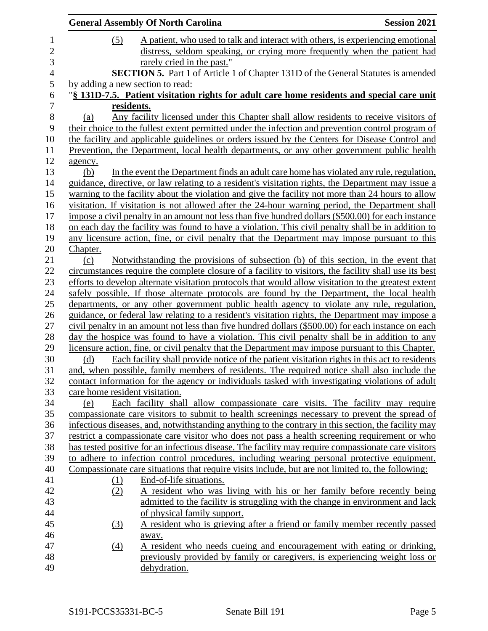|                                | <b>General Assembly Of North Carolina</b>                                                                                                                                                                                                                                                                                                                                                             | <b>Session 2021</b> |
|--------------------------------|-------------------------------------------------------------------------------------------------------------------------------------------------------------------------------------------------------------------------------------------------------------------------------------------------------------------------------------------------------------------------------------------------------|---------------------|
| (5)                            | A patient, who used to talk and interact with others, is experiencing emotional<br>distress, seldom speaking, or crying more frequently when the patient had<br>rarely cried in the past."                                                                                                                                                                                                            |                     |
|                                | SECTION 5. Part 1 of Article 1 of Chapter 131D of the General Statutes is amended                                                                                                                                                                                                                                                                                                                     |                     |
|                                | by adding a new section to read:<br>"§ 131D-7.5. Patient visitation rights for adult care home residents and special care unit                                                                                                                                                                                                                                                                        |                     |
|                                | residents.                                                                                                                                                                                                                                                                                                                                                                                            |                     |
| (a)                            | Any facility licensed under this Chapter shall allow residents to receive visitors of<br>their choice to the fullest extent permitted under the infection and prevention control program of<br>the facility and applicable guidelines or orders issued by the Centers for Disease Control and<br>Prevention, the Department, local health departments, or any other government public health          |                     |
| agency.<br>(b)                 | In the event the Department finds an adult care home has violated any rule, regulation,<br>guidance, directive, or law relating to a resident's visitation rights, the Department may issue a<br>warning to the facility about the violation and give the facility not more than 24 hours to allow<br>visitation. If visitation is not allowed after the 24-hour warning period, the Department shall |                     |
| Chapter.                       | impose a civil penalty in an amount not less than five hundred dollars (\$500.00) for each instance<br>on each day the facility was found to have a violation. This civil penalty shall be in addition to<br>any licensure action, fine, or civil penalty that the Department may impose pursuant to this                                                                                             |                     |
| (c)                            | Notwithstanding the provisions of subsection (b) of this section, in the event that<br>circumstances require the complete closure of a facility to visitors, the facility shall use its best                                                                                                                                                                                                          |                     |
|                                | efforts to develop alternate visitation protocols that would allow visitation to the greatest extent                                                                                                                                                                                                                                                                                                  |                     |
|                                | safely possible. If those alternate protocols are found by the Department, the local health                                                                                                                                                                                                                                                                                                           |                     |
|                                | departments, or any other government public health agency to violate any rule, regulation,                                                                                                                                                                                                                                                                                                            |                     |
|                                | guidance, or federal law relating to a resident's visitation rights, the Department may impose a                                                                                                                                                                                                                                                                                                      |                     |
|                                | civil penalty in an amount not less than five hundred dollars (\$500.00) for each instance on each<br>day the hospice was found to have a violation. This civil penalty shall be in addition to any                                                                                                                                                                                                   |                     |
|                                | licensure action, fine, or civil penalty that the Department may impose pursuant to this Chapter.                                                                                                                                                                                                                                                                                                     |                     |
| (d)                            | Each facility shall provide notice of the patient visitation rights in this act to residents                                                                                                                                                                                                                                                                                                          |                     |
|                                | and, when possible, family members of residents. The required notice shall also include the                                                                                                                                                                                                                                                                                                           |                     |
|                                | contact information for the agency or individuals tasked with investigating violations of adult                                                                                                                                                                                                                                                                                                       |                     |
| care home resident visitation. |                                                                                                                                                                                                                                                                                                                                                                                                       |                     |
| (e)                            | Each facility shall allow compassionate care visits. The facility may require                                                                                                                                                                                                                                                                                                                         |                     |
|                                | compassionate care visitors to submit to health screenings necessary to prevent the spread of                                                                                                                                                                                                                                                                                                         |                     |
|                                | infectious diseases, and, notwithstanding anything to the contrary in this section, the facility may                                                                                                                                                                                                                                                                                                  |                     |
|                                | restrict a compassionate care visitor who does not pass a health screening requirement or who                                                                                                                                                                                                                                                                                                         |                     |
|                                | has tested positive for an infectious disease. The facility may require compassionate care visitors                                                                                                                                                                                                                                                                                                   |                     |
|                                | to adhere to infection control procedures, including wearing personal protective equipment.                                                                                                                                                                                                                                                                                                           |                     |
|                                | Compassionate care situations that require visits include, but are not limited to, the following:                                                                                                                                                                                                                                                                                                     |                     |
| (1)                            | End-of-life situations.                                                                                                                                                                                                                                                                                                                                                                               |                     |
| (2)                            | A resident who was living with his or her family before recently being                                                                                                                                                                                                                                                                                                                                |                     |
|                                | admitted to the facility is struggling with the change in environment and lack                                                                                                                                                                                                                                                                                                                        |                     |
|                                | of physical family support.                                                                                                                                                                                                                                                                                                                                                                           |                     |
| <u>(3)</u>                     | A resident who is grieving after a friend or family member recently passed                                                                                                                                                                                                                                                                                                                            |                     |
|                                | away.                                                                                                                                                                                                                                                                                                                                                                                                 |                     |
| $\left(4\right)$               | A resident who needs cueing and encouragement with eating or drinking,                                                                                                                                                                                                                                                                                                                                |                     |
|                                | previously provided by family or caregivers, is experiencing weight loss or<br>dehydration.                                                                                                                                                                                                                                                                                                           |                     |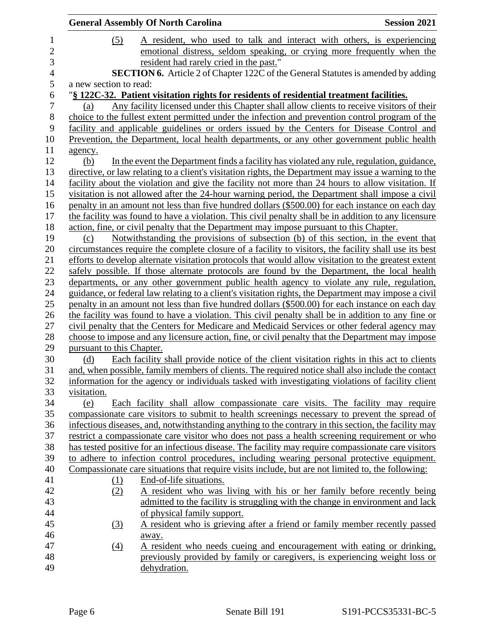|                           | <b>General Assembly Of North Carolina</b>                                                                                                                                                      | <b>Session 2021</b> |
|---------------------------|------------------------------------------------------------------------------------------------------------------------------------------------------------------------------------------------|---------------------|
| (5)                       | A resident, who used to talk and interact with others, is experiencing                                                                                                                         |                     |
|                           | emotional distress, seldom speaking, or crying more frequently when the                                                                                                                        |                     |
|                           | resident had rarely cried in the past."                                                                                                                                                        |                     |
|                           | <b>SECTION 6.</b> Article 2 of Chapter 122C of the General Statutes is amended by adding                                                                                                       |                     |
| a new section to read:    |                                                                                                                                                                                                |                     |
|                           | "§ 122C-32. Patient visitation rights for residents of residential treatment facilities.                                                                                                       |                     |
| (a)                       | Any facility licensed under this Chapter shall allow clients to receive visitors of their                                                                                                      |                     |
|                           | choice to the fullest extent permitted under the infection and prevention control program of the<br>facility and applicable guidelines or orders issued by the Centers for Disease Control and |                     |
|                           | Prevention, the Department, local health departments, or any other government public health                                                                                                    |                     |
| agency.                   |                                                                                                                                                                                                |                     |
| (b)                       | In the event the Department finds a facility has violated any rule, regulation, guidance,                                                                                                      |                     |
|                           | directive, or law relating to a client's visitation rights, the Department may issue a warning to the                                                                                          |                     |
|                           | facility about the violation and give the facility not more than 24 hours to allow visitation. If                                                                                              |                     |
|                           | visitation is not allowed after the 24-hour warning period, the Department shall impose a civil                                                                                                |                     |
|                           | penalty in an amount not less than five hundred dollars (\$500.00) for each instance on each day                                                                                               |                     |
|                           | the facility was found to have a violation. This civil penalty shall be in addition to any licensure                                                                                           |                     |
|                           | action, fine, or civil penalty that the Department may impose pursuant to this Chapter.                                                                                                        |                     |
| (c)                       | Notwithstanding the provisions of subsection (b) of this section, in the event that                                                                                                            |                     |
|                           | circumstances require the complete closure of a facility to visitors, the facility shall use its best                                                                                          |                     |
|                           | efforts to develop alternate visitation protocols that would allow visitation to the greatest extent                                                                                           |                     |
|                           | safely possible. If those alternate protocols are found by the Department, the local health                                                                                                    |                     |
|                           | departments, or any other government public health agency to violate any rule, regulation,                                                                                                     |                     |
|                           | guidance, or federal law relating to a client's visitation rights, the Department may impose a civil                                                                                           |                     |
|                           | penalty in an amount not less than five hundred dollars (\$500.00) for each instance on each day                                                                                               |                     |
|                           | the facility was found to have a violation. This civil penalty shall be in addition to any fine or                                                                                             |                     |
|                           | civil penalty that the Centers for Medicare and Medicaid Services or other federal agency may                                                                                                  |                     |
|                           | choose to impose and any licensure action, fine, or civil penalty that the Department may impose                                                                                               |                     |
| pursuant to this Chapter. |                                                                                                                                                                                                |                     |
| (d)                       | Each facility shall provide notice of the client visitation rights in this act to clients                                                                                                      |                     |
|                           | and, when possible, family members of clients. The required notice shall also include the contact                                                                                              |                     |
|                           | information for the agency or individuals tasked with investigating violations of facility client                                                                                              |                     |
| visitation.               |                                                                                                                                                                                                |                     |
| (e)                       | Each facility shall allow compassionate care visits. The facility may require                                                                                                                  |                     |
|                           | compassionate care visitors to submit to health screenings necessary to prevent the spread of                                                                                                  |                     |
|                           | infectious diseases, and, notwithstanding anything to the contrary in this section, the facility may                                                                                           |                     |
|                           | restrict a compassionate care visitor who does not pass a health screening requirement or who                                                                                                  |                     |
|                           | has tested positive for an infectious disease. The facility may require compassionate care visitors                                                                                            |                     |
|                           | to adhere to infection control procedures, including wearing personal protective equipment.                                                                                                    |                     |
|                           | Compassionate care situations that require visits include, but are not limited to, the following:                                                                                              |                     |
| $\Omega$                  | End-of-life situations.                                                                                                                                                                        |                     |
| (2)                       | A resident who was living with his or her family before recently being                                                                                                                         |                     |
|                           | admitted to the facility is struggling with the change in environment and lack                                                                                                                 |                     |
|                           | of physical family support.                                                                                                                                                                    |                     |
| (3)                       | A resident who is grieving after a friend or family member recently passed                                                                                                                     |                     |
|                           | away.                                                                                                                                                                                          |                     |
| $\underline{(4)}$         | A resident who needs cueing and encouragement with eating or drinking,                                                                                                                         |                     |
|                           | previously provided by family or caregivers, is experiencing weight loss or                                                                                                                    |                     |
|                           | dehydration.                                                                                                                                                                                   |                     |